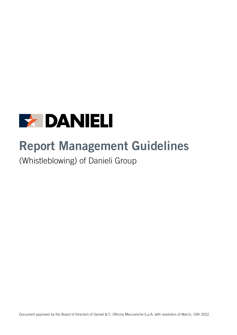

# **Report Management Guidelines**

(Whistleblowing) of Danieli Group

Document approved by the Board of Directors of Danieli & C. Officine Meccaniche S.p.A. with resolution of March, 10th 2022.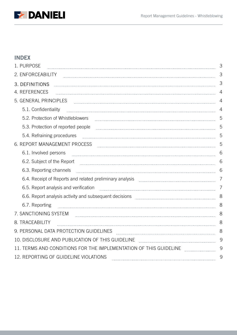

# **INDEX**

| 1. PURPOSE                                                                                                                                                                                                                     | 3              |
|--------------------------------------------------------------------------------------------------------------------------------------------------------------------------------------------------------------------------------|----------------|
| 2. ENFORCEABILITY                                                                                                                                                                                                              | 3              |
| 3. DEFINITIONS                                                                                                                                                                                                                 | 3              |
| 4. REFERENCES                                                                                                                                                                                                                  | $\overline{4}$ |
| 5. GENERAL PRINCIPLES                                                                                                                                                                                                          | 4              |
| 5.1. Confidentiality                                                                                                                                                                                                           | 4              |
| 5.2. Protection of Whistleblowers                                                                                                                                                                                              | 5              |
| 5.3. Protection of reported people                                                                                                                                                                                             | 5              |
| 5.4. Refraining procedures                                                                                                                                                                                                     | 5              |
| 6. REPORT MANAGEMENT PROCESS                                                                                                                                                                                                   | 5              |
| 6.1. Involved persons                                                                                                                                                                                                          | 6              |
| 6.2. Subject of the Report example and the Report of the Report of the Report of the Report of the Report of the Report of the Second Second Second Second Second Second Second Second Second Second Second Second Second Seco | 6              |
| 6.3. Reporting channels                                                                                                                                                                                                        | 6              |
| 6.4. Receipt of Reports and related preliminary analysis                                                                                                                                                                       | 7              |
| 6.5. Report analysis and verification                                                                                                                                                                                          | 7              |
| 6.6. Report analysis activity and subsequent decisions [100] [100] [100] [100] [100] [100] [100] [100] [100] [                                                                                                                 | 8              |
| 6.7. Reporting                                                                                                                                                                                                                 | 8              |
| 7. SANCTIONING SYSTEM                                                                                                                                                                                                          | 8              |
| 8. TRACEABILITY                                                                                                                                                                                                                | 8              |
| 9. PERSONAL DATA PROTECTION GUIDELINES                                                                                                                                                                                         | 8              |
| 10. DISCLOSURE AND PUBLICATION OF THIS GUIDELINE                                                                                                                                                                               | 9              |
| 11. TERMS AND CONDITIONS FOR THE IMPLEMENTATION OF THIS GUIDELINE                                                                                                                                                              | 9              |
| 12. REPORTING OF GUIDELINE VIOLATIONS                                                                                                                                                                                          | 9              |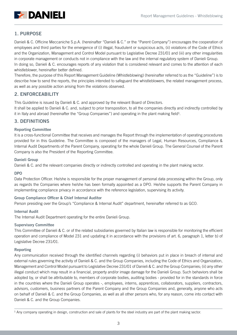

# <span id="page-2-0"></span>1. PURPOSE

Danieli & C. Officine Meccaniche S.p.A. (hereinafter "Danieli & C." or the "Parent Company") encourages the cooperation of employees and third parties for the emergence of (i) illegal, fraudulent or suspicious acts, (ii) violations of the Code of Ethics and the Organization, Management and Control Model pursuant to Legislative Decree 231/01 and (iii) any other irregularities in corporate management or conducts not in compliance with the law and the internal regulatory system of Danieli Group. In doing so, Danieli & C. encourages reports of any violation that is considered relevant and comes to the attention of each whistleblower, hereinafter better defined.

Therefore, the purpose of this Report Management Guideline (Whistleblowing) (hereinafter referred to as the "Guideline") is to describe how to send the reports, the principles intended to safeguard the whistleblowers, the related management process, as well as any possible action arising from the violations observed.

## <span id="page-2-1"></span>2. ENFORCEABILITY

This Guideline is issued by Danieli & C. and approved by the relevant Board of Directors.

It shall be applied to Danieli & C. and, subject to prior transposition, to all the companies directly and indirectly controlled by it in Italy and abroad (hereinafter the "Group Companies") and operating in the plant making field $l$ .

## <span id="page-2-2"></span>3. DEFINITIONS

#### Reporting Committee

It is a cross-functional Committee that receives and manages the Report through the implementation of operating procedures provided for in this Guideline. The Committee is composed of the managers of Legal, Human Resources, Compliance & Internal Audit Departments of the Parent Company, operating for the whole Danieli Group. The General Counsel of the Parent Company is also the President of the Reporting Committee.

#### Danieli Group

Danieli & C. and the relevant companies directly or indirectly controlled and operating in the plant making sector.

#### DPO

Data Protection Officer. He/she is responsible for the proper management of personal data processing within the Group, only as regards the Companies where he/she has been formally appointed as a DPO. He/she supports the Parent Company in implementing compliance privacy in accordance with the reference legislation, supervising its activity.

## Group Compliance Officer & Chief Internal Auditor

Person presiding over the Group's "Compliance & Internal Audit" department, hereinafter referred to as GCO.

#### Internal Audit

The Internal Audit Department operating for the entire Danieli Group.

#### Supervisory Committee

This Committee of Danieli & C. or of the related subsidiaries governed by Italian law is responsible for monitoring the efficient operation and compliance of Model 231 and updating it in accordance with the provisions of art. 6, paragraph 1, letter b) of Legislative Decree 231/01.

#### Reporting

Any communication received through the identified channels regarding (i) behaviors put in place in breach of internal and external rules governing the activity of Danieli & C. and the Group Companies, including the Code of Ethics and Organization, Management and Control Model pursuant to Legislative Decree 231/01 of Danieli & C. and the Group Companies; (ii) any other illegal conduct which may result in a financial, property and/or image damage for the Danieli Group. Such behaviors shall be adopted by, or shall be attributable to, members of corporate bodies, auditing bodies - provided for in the standards in force in the countries where the Danieli Group operates -, employees, interns, apprentices, collaborators, suppliers, contractors, advisors, customers, business partners of the Parent Company and the Group Companies and, generally, anyone who acts on behalf of Danieli & C. and the Group Companies, as well as all other persons who, for any reason, come into contact with Danieli & C. and the Group Companies.

<sup>&</sup>lt;sup>1</sup> Any company operating in design, construction and sale of plants for the steel industry are part of the plant making sector.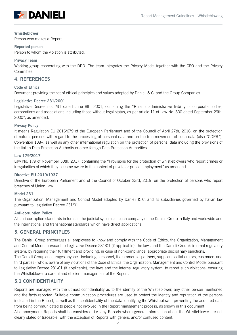

#### Whistleblower

Person who makes a Report.

#### Reported person

Person to whom the violation is attributed.

#### Privacy Team

Working group cooperating with the DPO. The team integrates the Privacy Model together with the CEO and the Privacy Committee.

#### <span id="page-3-0"></span>4. REFERENCES

#### Code of Ethics

Document providing the set of ethical principles and values adopted by Danieli & C. and the Group Companies.

#### Legislative Decree 231/2001

Legislative Decree no. 231 dated June 8th, 2001, containing the "Rule of administrative liability of corporate bodies, corporations and associations including those without legal status, as per article 11 of Law No. 300 dated September 29th, 2000", as amended.

#### Privacy Policy

It means Regulation EU 2016/679 of the European Parliament and of the Council of April 27th, 2016, on the protection of natural persons with regard to the processing of personal data and on the free movement of such data (also "GDPR"), Convention 108+, as well as any other international regulation on the protection of personal data including the provisions of the Italian Data Protection Authority or other foreign Data Protection Authorities.

#### Law 179/2017

Law No. 179 of November 30th, 2017, containing the "Provisions for the protection of whistleblowers who report crimes or irregularities of which they become aware in the context of private or public employment" as amended.

#### Directive EU 2019/1937

Directive of the European Parliament and of the Council of October 23rd, 2019, on the protection of persons who report breaches of Union Law.

#### Model 231

The Organization, Management and Control Model adopted by Danieli & C. and its subsidiaries governed by Italian law pursuant to Legislative Decree 231/01.

#### Anti-corruption Policy

All anti-corruption standards in force in the judicial systems of each company of the Danieli Group in Italy and worldwide and the international and transnational standards which have direct applications.

## <span id="page-3-1"></span>5. GENERAL PRINCIPLES

The Danieli Group encourages all employees to know and comply with the Code of Ethics, the Organization, Management and Control Model pursuant to Legislative Decree 231/01 (if applicable), the laws and the Danieli Group's internal regulatory system, by requiring their fulfillment and providing, in case of non-compliance, appropriate disciplinary sanctions.

The Danieli Group encourages anyone - including personnel, its commercial partners, suppliers, collaborators, customers and third parties - who is aware of any violations of the Code of Ethics, the Organization, Management and Control Model pursuant to Legislative Decree 231/01 (if applicable), the laws and the internal regulatory system, to report such violations, ensuring the Whistleblower a careful and efficient management of the Report.

## <span id="page-3-2"></span>5.1 CONFIDENTIALITY

Reports are managed with the utmost confidentiality as to the identity of the Whistleblower, any other person mentioned and the facts reported. Suitable communication procedures are used to protect the identity and reputation of the persons indicated in the Report, as well as the confidentiality of the data identifying the Whistleblower, preventing the acquired data from being communicated to people not involved in the Report management process, as shown in this document.

Also anonymous Reports shall be considered, i.e. any Reports where general information about the Whistleblower are not clearly stated or traceable, with the exception of Reports with generic and/or confused content.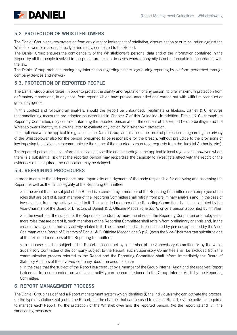

# <span id="page-4-0"></span>5.2. PROTECTION OF WHISTLEBLOWERS

The Danieli Group ensures protection from any direct or indirect act of retaliation, discrimination or criminalization against the Whistleblower for reasons, directly or indirectly, connected to the Report.

The Danieli Group ensures the confidentiality of the Whistleblower's personal data and of the information contained in the Report by all the people involved in the procedure, except in cases where anonymity is not enforceable in accordance with the law.

The Danieli Group prohibits tracing any information regarding access logs during reporting by platform performed through company devices and network.

# <span id="page-4-1"></span>5.3. PROTECTION OF REPORTED PEOPLE

The Danieli Group undertakes, in order to protect the dignity and reputation of any person, to offer maximum protection from defamatory reports and, in any case, from reports which have proved unfounded and carried out with willful misconduct or gross negligence.

In this context and following an analysis, should the Report be unfounded, illegitimate or libelous, Danieli & C. ensures that sanctioning measures are adopted as described in Chapter 7 of this Guideline. In addition, Danieli & C., through its Reporting Committee, may consider informing the reported person about the content of the Report held to be illegal and the Whistleblower's identity to allow the latter to evaluate any action for his/her own protection.

In compliance with the applicable regulations, the Danieli Group adopts the same forms of protection safeguarding the privacy of the Whistleblower also for the person presumed to be responsible for the breach, without prejudice to the provisions of law imposing the obligation to communicate the name of the reported person (e.g. requests from the Judicial Authority, etc.).

The reported person shall be informed as soon as possible and according to the applicable local regulations; however, where there is a substantial risk that the reported person may jeopardize the capacity to investigate effectively the report or the evidences o be acquired, the notification may be delayed.

## <span id="page-4-2"></span>5.4. REFRAINING PROCEDURES

In order to ensure the independence and impartiality of judgement of the body responsible for analyzing and assessing the Report, as well as the full collegiality of the Reporting Committee:

> in the event that the subject of the Report is a conduct by a member of the Reporting Committee or an employee of the roles that are part of it, such member of the Reporting Committee shall refrain from preliminary analysis and, in the case of investigation, from any activity related to it. The excluded member of the Reporting Committee shall be substituted by the Vice-Chairman of the Board of Directors of Danieli & C. Officine Meccaniche S.p.A. or by a person appointed by him/her;

> in the event that the subject of the Report is a conduct by more members of the Reporting Committee or employees of more roles that are part of it, such members of the Reporting Committee shall refrain from preliminary analysis and, in the case of investigation, from any activity related to it. These members shall be substituted by persons appointed by the Vice-Chairman of the Board of Directors of Danieli & C. Officine Meccaniche S.p.A. (even the Vice-Chairman can substitute one of the excluded members of the Reporting Committee);

> in the case that the subject of the Report is a conduct by a member of the Supervisory Committee or by the whole Supervisory Committee of the company subject to the Report, such Supervisory Committee shall be excluded from the communication process referred to the Report and the Reporting Committee shall inform immediately the Board of Statutory Auditors of the involved company about the circumstance;

> in the case that the subject of the Report is a conduct by a member of the Group Internal Audit and the received Report is deemed to be unfounded, no verification activity can be commissioned to the Group Internal Audit by the Reporting Committee.

## <span id="page-4-3"></span>6. REPORT MANAGEMENT PROCESS

The Danieli Group has defined a Report management system which identifies (i) the individuals who can activate the process, (ii) the type of violations subject to the Report, (iii) the channel that can be used to make a Report, (iv) the activities required to manage each Report, (v) the protection of the Whistleblower and the reported person, (vi) the reporting and (vii) the sanctioning measures.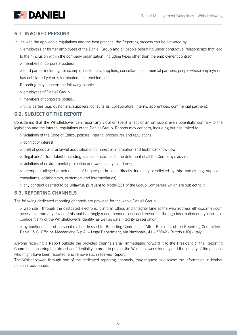

## <span id="page-5-0"></span>6.1. INVOLVED PERSONS

In line with the applicable regulations and the best practice, the Reporting process can be activated by:

- > employees or former employees of the Danieli Group and all people operating under contractual relationships that lead
- to their inclusion within the company organization, including types other than the employment contract;
- > members of corporate bodies;

> third parties including, for example, customers, suppliers, consultants, commercial partners, people whose employment has not started yet or is terminated, shareholders, etc.

Reporting may concern the following people:

- > employees of Danieli Group;
- > members of corporate bodies;
- > third parties (e.g. customers, suppliers, consultants, collaborators, interns, apprentices, commercial partners).

## <span id="page-5-1"></span>6.2. SUBJECT OF THE REPORT

Considering that the Whistleblower can report any violation (be it a fact or an omission) even potentially contrary to the legislation and the internal regulations of the Danieli Group, Reports may concern, including but not limited to:

- > violations of the Code of Ethics, policies, internal procedures and regulations;
- > conflict of interest;
- > theft of goods and unlawful acquisition of commercial information and technical know-how;
- > illegal and/or fraudulent (including financial) activities to the detriment of all the Company's assets;
- > violations of environmental protection and work safety standards;
- > attempted, alleged or actual acts of bribery put in place directly, indirectly or solicited by third parties (e.g. suppliers, consultants, collaborators, customers and intermediaries);
- > any conduct deemed to be unlawful, pursuant to Model 231 of the Group Companies which are subject to it.

## <span id="page-5-2"></span>6.3. REPORTING CHANNELS

The following dedicated reporting channels are provided for the whole Danieli Group:

- > web site through the dedicated electronic platform Ethics and Integrity Line at the web address ethics.danieli.com accessible from any device. This tool is strongly recommended because it ensures - through information encryption - full confidentiality of the Whistleblower's identity, as well as data integrity preservation;
- > by confidential and personal mail addressed to: Reporting Committee Attn.: President of the Reporting Committee Danieli & C. Officine Meccaniche S.p.A. – Legal Department, Via Nazionale, 41 - 33042 - Buttrio (UD) - Italy.

Anyone receiving a Report outside the provided channels shall immediately forward it to the President of the Reporting Committee, ensuring the utmost confidentiality in order to protect the Whistleblower's identity and the identity of the persons who might have been reported, and remove such received Report.

The Whistleblower, through one of the dedicated reporting channels, may request to disclose the information in his/her personal possession.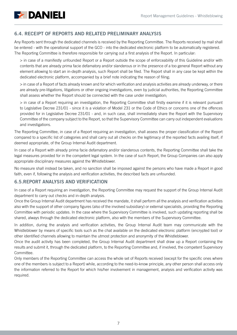

## <span id="page-6-0"></span>6.4. RECEIPT OF REPORTS AND RELATED PRELIMINARY ANALYSIS

Any Reports sent through the dedicated channels is received by the Reporting Committee. The Reports received by mail shall be entered - with the operational support of the GCO - into the dedicated electronic platform to be automatically registered. The Reporting Committee is therefore responsible for carrying out a first analysis of the Report. In particular:

> in case of a manifestly unfounded Report or a Report outside the scope of enforceability of this Guideline and/or with contents that are already prima facie defamatory and/or slanderous or in the presence of a too general Report without any element allowing to start an in-depth analysis, such Report shall be filed. The Report shall in any case be kept within the dedicated electronic platform, accompanied by a brief note indicating the reason of filing;

> in case of a Report of facts already known and for which verification and analysis activities are already underway, or there are already pre-litigations, litigations or other ongoing investigations, even by judicial authorities, the Reporting Committee shall assess whether the Report should be connected with the case under investigation;

> in case of a Report requiring an investigation, the Reporting Committee shall firstly examine if it is relevant pursuant to Legislative Decree 231/01 - since it is a violation of Model 231 or the Code of Ethics or concerns one of the offences provided for in Legislative Decree 231/01 - and, in such case, shall immediately share the Report with the Supervisory Committee of the company subject to the Report, so that the Supervisory Committee can carry out independent evaluations and investigations.

The Reporting Committee, in case of a Report requiring an investigation, shall assess the proper classification of the Report compared to a specific list of categories and shall carry out all checks on the legitimacy of the reported facts availing itself, if deemed appropriate, of the Group Internal Audit department.

In case of a Report with already prima facie defamatory and/or slanderous contents, the Reporting Committee shall take the legal measures provided for in the competent legal system. In the case of such Report, the Group Companies can also apply appropriate disciplinary measures against the Whistleblower.

No measure shall instead be taken, and no sanction shall be imposed against the persons who have made a Report in good faith, even if, following the analysis and verification activities, the described facts are unfounded.

## <span id="page-6-1"></span>6.5.REPORT ANALYSIS AND VERIFICATION

In case of a Report requiring an investigation, the Reporting Committee may request the support of the Group Internal Audit department to carry out checks and in-depth analysis.

Once the Group Internal Audit department has received the mandate, it shall perform all the analysis and verification activities also with the support of other company figures (also of the involved subsidiary) or external specialists, providing the Reporting Committee with periodic updates. In the case where the Supervisory Committee is involved, such updating reporting shall be shared, always through the dedicated electronic platform, also with the members of the Supervisory Committee.

In addition, during the analysis and verification activities, the Group Internal Audit team may communicate with the Whistleblower by means of specific tools such as the chat available on the dedicated electronic platform (encrypted tool) or other identified channels allowing to maintain the utmost protection and anonymity of the Whistleblower.

Once the audit activity has been completed, the Group Internal Audit department shall draw up a Report containing the results and submit it, through the dedicated platform, to the Reporting Committee and, if involved, the competent Supervisory Committee.

Only members of the Reporting Committee can access the whole set of Reports received (except for the specific ones where one of the members is subject to a Report) while, according to the need-to-know principle, any other person shall access only the information referred to the Report for which his/her involvement in management, analysis and verification activity was required.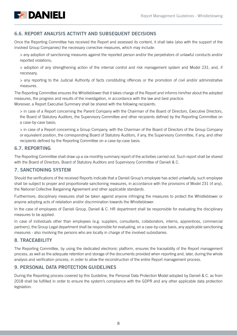

# <span id="page-7-2"></span>6.6. REPORT ANALYSIS ACTIVITY AND SUBSEQUENT DECISIONS

Once the Reporting Committee has received the Report and assessed its content, it shall take (also with the support of the involved Group Companies) the necessary corrective measures, which may include:

> any adoption of sanctioning measures against the reported person and/or the perpetrators of unlawful conducts and/or reported violations;

> adoption of any strengthening action of the internal control and risk management system and Model 231; and, if necessary,

> any reporting to the Judicial Authority of facts constituting offences or the promotion of civil and/or administrative measures.

The Reporting Committee ensures the Whistleblower that it takes charge of the Report and informs him/her about the adopted measures, the progress and results of the investigation, in accordance with the law and best practice. Moreover, a Report Executive Summary shall be shared with the following recipients:

> in case of a Report concerning the Parent Company with the Chairman of the Board of Directors, Executive Directors, the Board of Statutory Auditors, the Supervisory Committee and other recipients defined by the Reporting Committee on a case-by-case basis;

> in case of a Report concerning a Group Company, with the Chairman of the Board of Directors of the Group Company or equivalent position, the corresponding Board of Statutory Auditors, if any, the Supervisory Committee, if any, and other recipients defined by the Reporting Committee on a case-by-case basis.

## <span id="page-7-3"></span>6.7. REPORTING

The Reporting Committee shall draw up a six-monthly summary report of the activities carried out. Such report shall be shared with the Board of Directors, Board of Statutory Auditors and Supervisory Committee of Danieli & C.

## <span id="page-7-0"></span>7. SANCTIONING SYSTEM

Should the verifications of the received Reports indicate that a Danieli Group's employee has acted unlawfully, such employee shall be subject to proper and proportionate sanctioning measures, in accordance with the provisions of Model 231 (if any), the National Collective Bargaining Agreement and other applicable standards.

Furthermore, disciplinary measures shall be taken against anyone infringing the measures to protect the Whistleblower or anyone adopting acts of retaliation and/or discrimination towards the Whistleblower.

In the case of employees of Danieli Group, Danieli & C. HR department shall be responsible for evaluating the disciplinary measures to be applied.

In case of individuals other than employees (e.g. suppliers, consultants, collaborators, interns, apprentices, commercial partners), the Group Legal department shall be responsible for evaluating, on a case-by-case basis, any applicable sanctioning measures - also involving the persons who are locally in charge of the involved subsidiaries.

## <span id="page-7-1"></span>8. TRACEABILITY

The Reporting Committee, by using the dedicated electronic platform, ensures the traceability of the Report management process, as well as the adequate retention and storage of the documents provided when reporting and, later, during the whole analysis and verification process, in order to allow the reconstruction of the entire Report management process.

## 9. PERSONAL DATA PROTECTION GUIDELINES

During the Reporting process covered by this Guideline, the Personal Data Protection Model adopted by Danieli & C. as from 2018 shall be fulfilled in order to ensure the system's compliance with the GDPR and any other applicable data protection legislation.